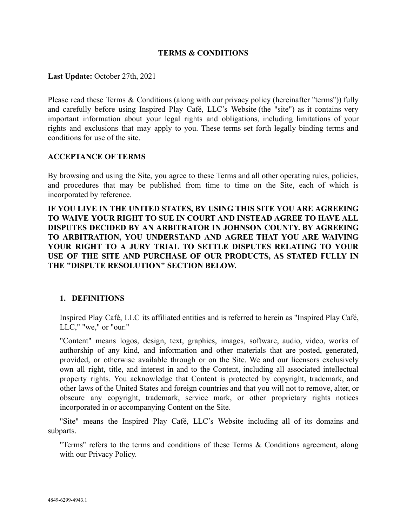### **TERMS & CONDITIONS**

**Last Update:** October 27th, 2021

Please read these Terms & Conditions (along with our privacy policy (hereinafter "terms")) fully and carefully before using Inspired Play Café, LLC's Website (the "site") as it contains very important information about your legal rights and obligations, including limitations of your rights and exclusions that may apply to you. These terms set forth legally binding terms and conditions for use of the site.

#### **ACCEPTANCE OF TERMS**

By browsing and using the Site, you agree to these Terms and all other operating rules, policies, and procedures that may be published from time to time on the Site, each of which is incorporated by reference.

**IF YOU LIVE IN THE UNITED STATES, BY USING THIS SITE YOU ARE AGREEING TO WAIVE YOUR RIGHT TO SUE IN COURT AND INSTEAD AGREE TO HAVE ALL DISPUTES DECIDED BY AN ARBITRATOR IN JOHNSON COUNTY. BY AGREEING TO ARBITRATION, YOU UNDERSTAND AND AGREE THAT YOU ARE WAIVING YOUR RIGHT TO A JURY TRIAL TO SETTLE DISPUTES RELATING TO YOUR USE OF THE SITE AND PURCHASE OF OUR PRODUCTS, AS STATED FULLY IN THE "DISPUTE RESOLUTION" SECTION BELOW.**

### **1. DEFINITIONS**

Inspired Play Café, LLC its affiliated entities and is referred to herein as "Inspired Play Café, LLC," "we," or "our."

"Content" means logos, design, text, graphics, images, software, audio, video, works of authorship of any kind, and information and other materials that are posted, generated, provided, or otherwise available through or on the Site. We and our licensors exclusively own all right, title, and interest in and to the Content, including all associated intellectual property rights. You acknowledge that Content is protected by copyright, trademark, and other laws of the United States and foreign countries and that you will not to remove, alter, or obscure any copyright, trademark, service mark, or other proprietary rights notices incorporated in or accompanying Content on the Site.

"Site" means the Inspired Play Café, LLC's Website including all of its domains and subparts.

"Terms" refers to the terms and conditions of these Terms & Conditions agreement, along with our Privacy Policy.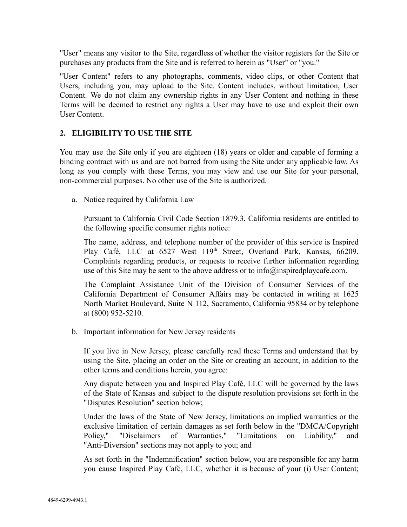"User" means any visitor to the Site, regardless of whether the visitor registers for the Site or purchases any products from the Site and is referred to herein as "User" or "you."

"User Content" refers to any photographs, comments, video clips, or other Content that Users, including you, may upload to the Site. Content includes, without limitation, User Content. We do not claim any ownership rights in any User Content and nothing in these Terms will be deemed to restrict any rights a User may have to use and exploit their own User Content.

### **2. ELIGIBILITY TO USE THE SITE**

You may use the Site only if you are eighteen (18) years or older and capable of forming a binding contract with us and are not barred from using the Site under any applicable law. As long as you comply with these Terms, you may view and use our Site for your personal, non-commercial purposes. No other use of the Site is authorized.

a. Notice required by California Law

Pursuant to California Civil Code Section 1879.3, California residents are entitled to the following specific consumer rights notice:

The name, address, and telephone number of the provider of this service is Inspired Play Café, LLC at 6527 West 119<sup>th</sup> Street, Overland Park, Kansas, 66209. Complaints regarding products, or requests to receive further information regarding use of this Site may be sent to the above address or to info@inspiredplaycafe.com.

The Complaint Assistance Unit of the Division of Consumer Services of the California Department of Consumer Affairs may be contacted in writing at 1625 North Market Boulevard, Suite N 112, Sacramento, California 95834 or by telephone at (800) 952-5210.

b. Important information for New Jersey residents

If you live in New Jersey, please carefully read these Terms and understand that by using the Site, placing an order on the Site or creating an account, in addition to the other terms and conditions herein, you agree:

Any dispute between you and Inspired Play Café, LLC will be governed by the laws of the State of Kansas and subject to the dispute resolution provisions set forth in the "Disputes Resolution" section below;

Under the laws of the State of New Jersey, limitations on implied warranties or the exclusive limitation of certain damages as set forth below in the "DMCA/Copyright Policy," "Disclaimers of Warranties," "Limitations on Liability," and "Anti-Diversion" sections may not apply to you; and

As set forth in the "Indemnification" section below, you are responsible for any harm you cause Inspired Play Café, LLC, whether it is because of your (i) User Content;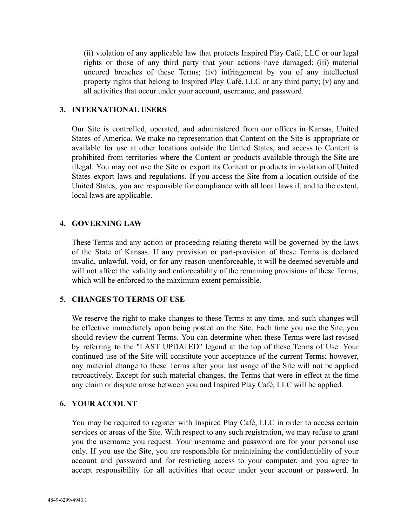(ii) violation of any applicable law that protects Inspired Play Café, LLC or our legal rights or those of any third party that your actions have damaged; (iii) material uncured breaches of these Terms; (iv) infringement by you of any intellectual property rights that belong to Inspired Play Café, LLC or any third party; (v) any and all activities that occur under your account, username, and password.

### **3. INTERNATIONAL USERS**

Our Site is controlled, operated, and administered from our offices in Kansas, United States of America. We make no representation that Content on the Site is appropriate or available for use at other locations outside the United States, and access to Content is prohibited from territories where the Content or products available through the Site are illegal. You may not use the Site or export its Content or products in violation of United States export laws and regulations. If you access the Site from a location outside of the United States, you are responsible for compliance with all local laws if, and to the extent, local laws are applicable.

#### **4. GOVERNING LAW**

These Terms and any action or proceeding relating thereto will be governed by the laws of the State of Kansas. If any provision or part-provision of these Terms is declared invalid, unlawful, void, or for any reason unenforceable, it will be deemed severable and will not affect the validity and enforceability of the remaining provisions of these Terms, which will be enforced to the maximum extent permissible.

### **5. CHANGES TO TERMS OF USE**

We reserve the right to make changes to these Terms at any time, and such changes will be effective immediately upon being posted on the Site. Each time you use the Site, you should review the current Terms. You can determine when these Terms were last revised by referring to the "LAST UPDATED" legend at the top of these Terms of Use. Your continued use of the Site will constitute your acceptance of the current Terms; however, any material change to these Terms after your last usage of the Site will not be applied retroactively. Except for such material changes, the Terms that were in effect at the time any claim or dispute arose between you and Inspired Play Café, LLC will be applied.

#### **6. YOUR ACCOUNT**

You may be required to register with Inspired Play Café, LLC in order to access certain services or areas of the Site. With respect to any such registration, we may refuse to grant you the username you request. Your username and password are for your personal use only. If you use the Site, you are responsible for maintaining the confidentiality of your account and password and for restricting access to your computer, and you agree to accept responsibility for all activities that occur under your account or password. In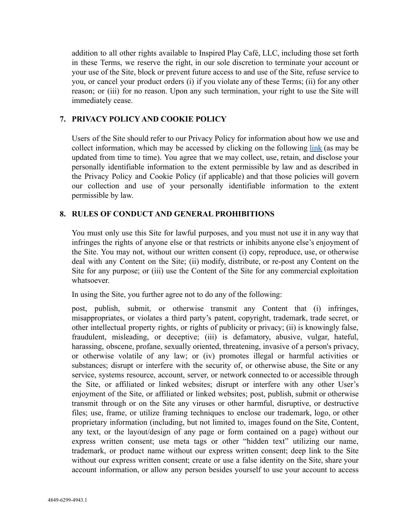addition to all other rights available to Inspired Play Café, LLC, including those set forth in these Terms, we reserve the right, in our sole discretion to terminate your account or your use of the Site, block or prevent future access to and use of the Site, refuse service to you, or cancel your product orders (i) if you violate any of these Terms; (ii) for any other reason; or (iii) for no reason. Upon any such termination, your right to use the Site will immediately cease.

# **7. PRIVACY POLICY AND COOKIE POLICY**

Users of the Site should refer to our Privacy Policy for information about how we use and collect information, which may be accessed by clicking on the following [link](https://23327ead-c37c-4cdf-8314-b939e11a6340.usrfiles.com/ugd/23327e_7f714218004a49fda62615971a075aeb.pdf) (as may be updated from time to time). You agree that we may collect, use, retain, and disclose your personally identifiable information to the extent permissible by law and as described in the Privacy Policy and Cookie Policy (if applicable) and that those policies will govern our collection and use of your personally identifiable information to the extent permissible by law.

# **8. RULES OF CONDUCT AND GENERAL PROHIBITIONS**

You must only use this Site for lawful purposes, and you must not use it in any way that infringes the rights of anyone else or that restricts or inhibits anyone else's enjoyment of the Site. You may not, without our written consent (i) copy, reproduce, use, or otherwise deal with any Content on the Site; (ii) modify, distribute, or re-post any Content on the Site for any purpose; or (iii) use the Content of the Site for any commercial exploitation whatsoever.

In using the Site, you further agree not to do any of the following:

post, publish, submit, or otherwise transmit any Content that (i) infringes, misappropriates, or violates a third party's patent, copyright, trademark, trade secret, or other intellectual property rights, or rights of publicity or privacy; (ii) is knowingly false, fraudulent, misleading, or deceptive; (iii) is defamatory, abusive, vulgar, hateful, harassing, obscene, profane, sexually oriented, threatening, invasive of a person's privacy, or otherwise volatile of any law; or (iv) promotes illegal or harmful activities or substances; disrupt or interfere with the security of, or otherwise abuse, the Site or any service, systems resource, account, server, or network connected to or accessible through the Site, or affiliated or linked websites; disrupt or interfere with any other User's enjoyment of the Site, or affiliated or linked websites; post, publish, submit or otherwise transmit through or on the Site any viruses or other harmful, disruptive, or destructive files; use, frame, or utilize framing techniques to enclose our trademark, logo, or other proprietary information (including, but not limited to, images found on the Site, Content, any text, or the layout/design of any page or form contained on a page) without our express written consent; use meta tags or other "hidden text" utilizing our name, trademark, or product name without our express written consent; deep link to the Site without our express written consent; create or use a false identity on the Site, share your account information, or allow any person besides yourself to use your account to access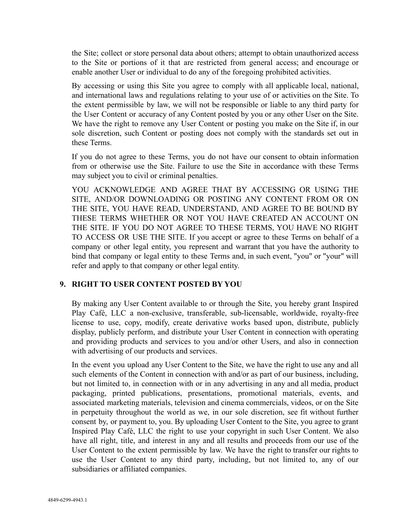the Site; collect or store personal data about others; attempt to obtain unauthorized access to the Site or portions of it that are restricted from general access; and encourage or enable another User or individual to do any of the foregoing prohibited activities.

By accessing or using this Site you agree to comply with all applicable local, national, and international laws and regulations relating to your use of or activities on the Site. To the extent permissible by law, we will not be responsible or liable to any third party for the User Content or accuracy of any Content posted by you or any other User on the Site. We have the right to remove any User Content or posting you make on the Site if, in our sole discretion, such Content or posting does not comply with the standards set out in these Terms.

If you do not agree to these Terms, you do not have our consent to obtain information from or otherwise use the Site. Failure to use the Site in accordance with these Terms may subject you to civil or criminal penalties.

YOU ACKNOWLEDGE AND AGREE THAT BY ACCESSING OR USING THE SITE, AND/OR DOWNLOADING OR POSTING ANY CONTENT FROM OR ON THE SITE, YOU HAVE READ, UNDERSTAND, AND AGREE TO BE BOUND BY THESE TERMS WHETHER OR NOT YOU HAVE CREATED AN ACCOUNT ON THE SITE. IF YOU DO NOT AGREE TO THESE TERMS, YOU HAVE NO RIGHT TO ACCESS OR USE THE SITE. If you accept or agree to these Terms on behalf of a company or other legal entity, you represent and warrant that you have the authority to bind that company or legal entity to these Terms and, in such event, "you" or "your" will refer and apply to that company or other legal entity.

# **9. RIGHT TO USER CONTENT POSTED BY YOU**

By making any User Content available to or through the Site, you hereby grant Inspired Play Café, LLC a non-exclusive, transferable, sub-licensable, worldwide, royalty-free license to use, copy, modify, create derivative works based upon, distribute, publicly display, publicly perform, and distribute your User Content in connection with operating and providing products and services to you and/or other Users, and also in connection with advertising of our products and services.

In the event you upload any User Content to the Site, we have the right to use any and all such elements of the Content in connection with and/or as part of our business, including, but not limited to, in connection with or in any advertising in any and all media, product packaging, printed publications, presentations, promotional materials, events, and associated marketing materials, television and cinema commercials, videos, or on the Site in perpetuity throughout the world as we, in our sole discretion, see fit without further consent by, or payment to, you. By uploading User Content to the Site, you agree to grant Inspired Play Café, LLC the right to use your copyright in such User Content. We also have all right, title, and interest in any and all results and proceeds from our use of the User Content to the extent permissible by law. We have the right to transfer our rights to use the User Content to any third party, including, but not limited to, any of our subsidiaries or affiliated companies.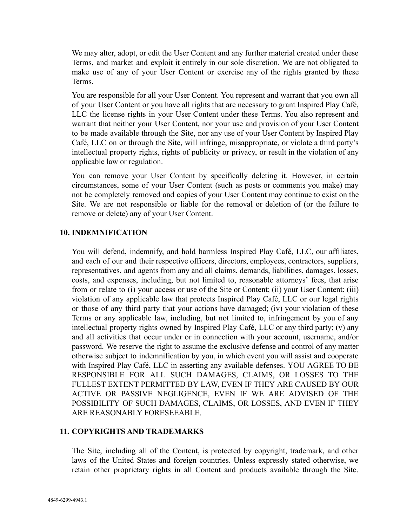We may alter, adopt, or edit the User Content and any further material created under these Terms, and market and exploit it entirely in our sole discretion. We are not obligated to make use of any of your User Content or exercise any of the rights granted by these Terms.

You are responsible for all your User Content. You represent and warrant that you own all of your User Content or you have all rights that are necessary to grant Inspired Play Café, LLC the license rights in your User Content under these Terms. You also represent and warrant that neither your User Content, nor your use and provision of your User Content to be made available through the Site, nor any use of your User Content by Inspired Play Café, LLC on or through the Site, will infringe, misappropriate, or violate a third party's intellectual property rights, rights of publicity or privacy, or result in the violation of any applicable law or regulation.

You can remove your User Content by specifically deleting it. However, in certain circumstances, some of your User Content (such as posts or comments you make) may not be completely removed and copies of your User Content may continue to exist on the Site. We are not responsible or liable for the removal or deletion of (or the failure to remove or delete) any of your User Content.

### **10. INDEMNIFICATION**

You will defend, indemnify, and hold harmless Inspired Play Café, LLC, our affiliates, and each of our and their respective officers, directors, employees, contractors, suppliers, representatives, and agents from any and all claims, demands, liabilities, damages, losses, costs, and expenses, including, but not limited to, reasonable attorneys' fees, that arise from or relate to (i) your access or use of the Site or Content; (ii) your User Content; (iii) violation of any applicable law that protects Inspired Play Café, LLC or our legal rights or those of any third party that your actions have damaged; (iv) your violation of these Terms or any applicable law, including, but not limited to, infringement by you of any intellectual property rights owned by Inspired Play Café, LLC or any third party; (v) any and all activities that occur under or in connection with your account, username, and/or password. We reserve the right to assume the exclusive defense and control of any matter otherwise subject to indemnification by you, in which event you will assist and cooperate with Inspired Play Café, LLC in asserting any available defenses. YOU AGREE TO BE RESPONSIBLE FOR ALL SUCH DAMAGES, CLAIMS, OR LOSSES TO THE FULLEST EXTENT PERMITTED BY LAW, EVEN IF THEY ARE CAUSED BY OUR ACTIVE OR PASSIVE NEGLIGENCE, EVEN IF WE ARE ADVISED OF THE POSSIBILITY OF SUCH DAMAGES, CLAIMS, OR LOSSES, AND EVEN IF THEY ARE REASONABLY FORESEEABLE.

### **11. COPYRIGHTS AND TRADEMARKS**

The Site, including all of the Content, is protected by copyright, trademark, and other laws of the United States and foreign countries. Unless expressly stated otherwise, we retain other proprietary rights in all Content and products available through the Site.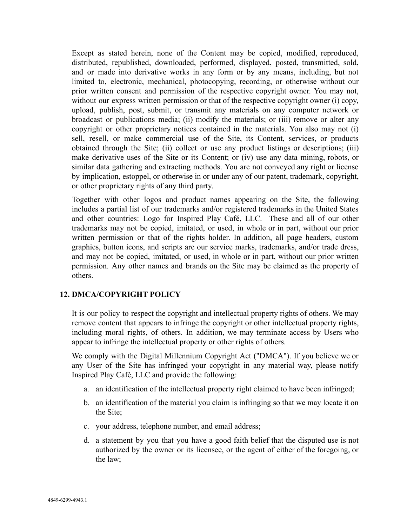Except as stated herein, none of the Content may be copied, modified, reproduced, distributed, republished, downloaded, performed, displayed, posted, transmitted, sold, and or made into derivative works in any form or by any means, including, but not limited to, electronic, mechanical, photocopying, recording, or otherwise without our prior written consent and permission of the respective copyright owner. You may not, without our express written permission or that of the respective copyright owner (i) copy, upload, publish, post, submit, or transmit any materials on any computer network or broadcast or publications media; (ii) modify the materials; or (iii) remove or alter any copyright or other proprietary notices contained in the materials. You also may not (i) sell, resell, or make commercial use of the Site, its Content, services, or products obtained through the Site; (ii) collect or use any product listings or descriptions; (iii) make derivative uses of the Site or its Content; or (iv) use any data mining, robots, or similar data gathering and extracting methods. You are not conveyed any right or license by implication, estoppel, or otherwise in or under any of our patent, trademark, copyright, or other proprietary rights of any third party.

Together with other logos and product names appearing on the Site, the following includes a partial list of our trademarks and/or registered trademarks in the United States and other countries: Logo for Inspired Play Café, LLC. These and all of our other trademarks may not be copied, imitated, or used, in whole or in part, without our prior written permission or that of the rights holder. In addition, all page headers, custom graphics, button icons, and scripts are our service marks, trademarks, and/or trade dress, and may not be copied, imitated, or used, in whole or in part, without our prior written permission. Any other names and brands on the Site may be claimed as the property of others.

# **12. DMCA/COPYRIGHT POLICY**

It is our policy to respect the copyright and intellectual property rights of others. We may remove content that appears to infringe the copyright or other intellectual property rights, including moral rights, of others. In addition, we may terminate access by Users who appear to infringe the intellectual property or other rights of others.

We comply with the Digital Millennium Copyright Act ("DMCA"). If you believe we or any User of the Site has infringed your copyright in any material way, please notify Inspired Play Café, LLC and provide the following:

- a. an identification of the intellectual property right claimed to have been infringed;
- b. an identification of the material you claim is infringing so that we may locate it on the Site;
- c. your address, telephone number, and email address;
- d. a statement by you that you have a good faith belief that the disputed use is not authorized by the owner or its licensee, or the agent of either of the foregoing, or the law;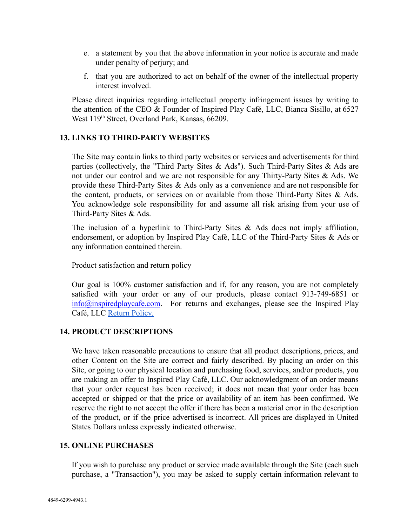- e. a statement by you that the above information in your notice is accurate and made under penalty of perjury; and
- f. that you are authorized to act on behalf of the owner of the intellectual property interest involved.

Please direct inquiries regarding intellectual property infringement issues by writing to the attention of the CEO & Founder of Inspired Play Café, LLC, Bianca Sisillo, at 6527 West 119<sup>th</sup> Street, Overland Park, Kansas, 66209.

### **13. LINKS TO THIRD-PARTY WEBSITES**

The Site may contain links to third party websites or services and advertisements for third parties (collectively, the "Third Party Sites & Ads"). Such Third-Party Sites & Ads are not under our control and we are not responsible for any Thirty-Party Sites & Ads. We provide these Third-Party Sites & Ads only as a convenience and are not responsible for the content, products, or services on or available from those Third-Party Sites  $\&$  Ads. You acknowledge sole responsibility for and assume all risk arising from your use of Third-Party Sites & Ads.

The inclusion of a hyperlink to Third-Party Sites & Ads does not imply affiliation, endorsement, or adoption by Inspired Play Café, LLC of the Third-Party Sites & Ads or any information contained therein.

Product satisfaction and return policy

Our goal is 100% customer satisfaction and if, for any reason, you are not completely satisfied with your order or any of our products, please contact 913-749-6851 or  $\frac{\sin(10)}{2}$  info $\frac{\sin(10)}{2}$  info $\frac{\sin(10)}{2}$  info $\frac{\sin(10)}{2}$  in Forms and exchanges, please see the Inspired Play Café, LLC [Return Policy.](https://23327ead-c37c-4cdf-8314-b939e11a6340.usrfiles.com/ugd/23327e_5151b0dd111347c3bac9fa8aa984aa24.pdf)

### **14. PRODUCT DESCRIPTIONS**

We have taken reasonable precautions to ensure that all product descriptions, prices, and other Content on the Site are correct and fairly described. By placing an order on this Site, or going to our physical location and purchasing food, services, and/or products, you are making an offer to Inspired Play Café, LLC. Our acknowledgment of an order means that your order request has been received; it does not mean that your order has been accepted or shipped or that the price or availability of an item has been confirmed. We reserve the right to not accept the offer if there has been a material error in the description of the product, or if the price advertised is incorrect. All prices are displayed in United States Dollars unless expressly indicated otherwise.

### **15. ONLINE PURCHASES**

If you wish to purchase any product or service made available through the Site (each such purchase, a "Transaction"), you may be asked to supply certain information relevant to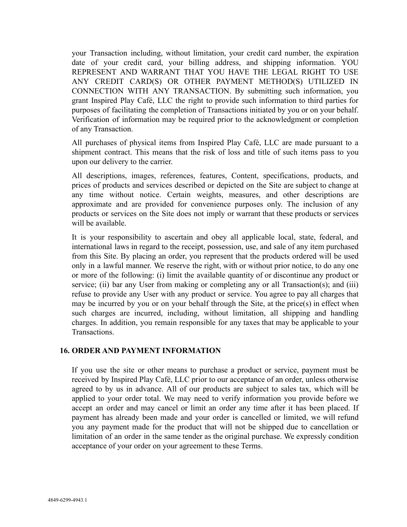your Transaction including, without limitation, your credit card number, the expiration date of your credit card, your billing address, and shipping information. YOU REPRESENT AND WARRANT THAT YOU HAVE THE LEGAL RIGHT TO USE ANY CREDIT CARD(S) OR OTHER PAYMENT METHOD(S) UTILIZED IN CONNECTION WITH ANY TRANSACTION. By submitting such information, you grant Inspired Play Café, LLC the right to provide such information to third parties for purposes of facilitating the completion of Transactions initiated by you or on your behalf. Verification of information may be required prior to the acknowledgment or completion of any Transaction.

All purchases of physical items from Inspired Play Café, LLC are made pursuant to a shipment contract. This means that the risk of loss and title of such items pass to you upon our delivery to the carrier.

All descriptions, images, references, features, Content, specifications, products, and prices of products and services described or depicted on the Site are subject to change at any time without notice. Certain weights, measures, and other descriptions are approximate and are provided for convenience purposes only. The inclusion of any products or services on the Site does not imply or warrant that these products or services will be available.

It is your responsibility to ascertain and obey all applicable local, state, federal, and international laws in regard to the receipt, possession, use, and sale of any item purchased from this Site. By placing an order, you represent that the products ordered will be used only in a lawful manner. We reserve the right, with or without prior notice, to do any one or more of the following: (i) limit the available quantity of or discontinue any product or service; (ii) bar any User from making or completing any or all Transaction(s); and (iii) refuse to provide any User with any product or service. You agree to pay all charges that may be incurred by you or on your behalf through the Site, at the price(s) in effect when such charges are incurred, including, without limitation, all shipping and handling charges. In addition, you remain responsible for any taxes that may be applicable to your Transactions.

### **16. ORDER AND PAYMENT INFORMATION**

If you use the site or other means to purchase a product or service, payment must be received by Inspired Play Café, LLC prior to our acceptance of an order, unless otherwise agreed to by us in advance. All of our products are subject to sales tax, which will be applied to your order total. We may need to verify information you provide before we accept an order and may cancel or limit an order any time after it has been placed. If payment has already been made and your order is cancelled or limited, we will refund you any payment made for the product that will not be shipped due to cancellation or limitation of an order in the same tender as the original purchase. We expressly condition acceptance of your order on your agreement to these Terms.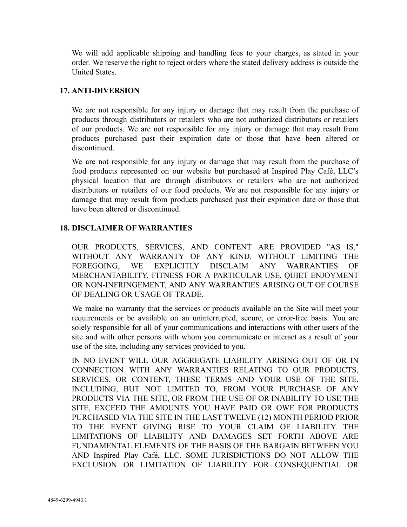We will add applicable shipping and handling fees to your charges, as stated in your order. We reserve the right to reject orders where the stated delivery address is outside the United States.

### **17. ANTI-DIVERSION**

We are not responsible for any injury or damage that may result from the purchase of products through distributors or retailers who are not authorized distributors or retailers of our products. We are not responsible for any injury or damage that may result from products purchased past their expiration date or those that have been altered or discontinued.

We are not responsible for any injury or damage that may result from the purchase of food products represented on our website but purchased at Inspired Play Café, LLC's physical location that are through distributors or retailers who are not authorized distributors or retailers of our food products. We are not responsible for any injury or damage that may result from products purchased past their expiration date or those that have been altered or discontinued.

### **18. DISCLAIMER OF WARRANTIES**

OUR PRODUCTS, SERVICES, AND CONTENT ARE PROVIDED "AS IS," WITHOUT ANY WARRANTY OF ANY KIND. WITHOUT LIMITING THE FOREGOING, WE EXPLICITLY DISCLAIM ANY WARRANTIES OF MERCHANTABILITY, FITNESS FOR A PARTICULAR USE, QUIET ENJOYMENT OR NON-INFRINGEMENT, AND ANY WARRANTIES ARISING OUT OF COURSE OF DEALING OR USAGE OF TRADE.

We make no warranty that the services or products available on the Site will meet your requirements or be available on an uninterrupted, secure, or error-free basis. You are solely responsible for all of your communications and interactions with other users of the site and with other persons with whom you communicate or interact as a result of your use of the site, including any services provided to you.

IN NO EVENT WILL OUR AGGREGATE LIABILITY ARISING OUT OF OR IN CONNECTION WITH ANY WARRANTIES RELATING TO OUR PRODUCTS, SERVICES, OR CONTENT, THESE TERMS AND YOUR USE OF THE SITE, INCLUDING, BUT NOT LIMITED TO, FROM YOUR PURCHASE OF ANY PRODUCTS VIA THE SITE, OR FROM THE USE OF OR INABILITY TO USE THE SITE, EXCEED THE AMOUNTS YOU HAVE PAID OR OWE FOR PRODUCTS PURCHASED VIA THE SITE IN THE LAST TWELVE (12) MONTH PERIOD PRIOR TO THE EVENT GIVING RISE TO YOUR CLAIM OF LIABILITY. THE LIMITATIONS OF LIABILITY AND DAMAGES SET FORTH ABOVE ARE FUNDAMENTAL ELEMENTS OF THE BASIS OF THE BARGAIN BETWEEN YOU AND Inspired Play Café, LLC. SOME JURISDICTIONS DO NOT ALLOW THE EXCLUSION OR LIMITATION OF LIABILITY FOR CONSEQUENTIAL OR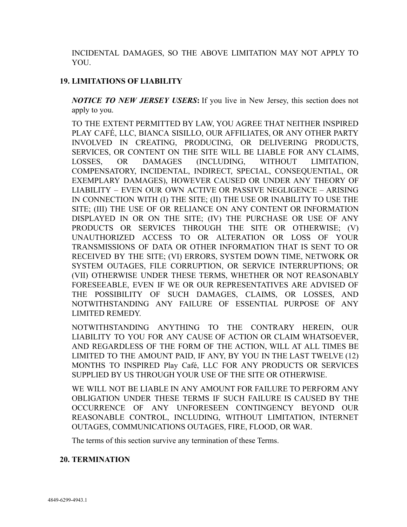INCIDENTAL DAMAGES, SO THE ABOVE LIMITATION MAY NOT APPLY TO YOU.

# **19. LIMITATIONS OF LIABILITY**

*NOTICE TO NEW JERSEY USERS***:** If you live in New Jersey, this section does not apply to you.

TO THE EXTENT PERMITTED BY LAW, YOU AGREE THAT NEITHER INSPIRED PLAY CAFÉ, LLC, BIANCA SISILLO, OUR AFFILIATES, OR ANY OTHER PARTY INVOLVED IN CREATING, PRODUCING, OR DELIVERING PRODUCTS, SERVICES, OR CONTENT ON THE SITE WILL BE LIABLE FOR ANY CLAIMS, LOSSES, OR DAMAGES (INCLUDING, WITHOUT LIMITATION, COMPENSATORY, INCIDENTAL, INDIRECT, SPECIAL, CONSEQUENTIAL, OR EXEMPLARY DAMAGES), HOWEVER CAUSED OR UNDER ANY THEORY OF LIABILITY – EVEN OUR OWN ACTIVE OR PASSIVE NEGLIGENCE – ARISING IN CONNECTION WITH (I) THE SITE; (II) THE USE OR INABILITY TO USE THE SITE; (III) THE USE OF OR RELIANCE ON ANY CONTENT OR INFORMATION DISPLAYED IN OR ON THE SITE; (IV) THE PURCHASE OR USE OF ANY PRODUCTS OR SERVICES THROUGH THE SITE OR OTHERWISE; (V) UNAUTHORIZED ACCESS TO OR ALTERATION OR LOSS OF YOUR TRANSMISSIONS OF DATA OR OTHER INFORMATION THAT IS SENT TO OR RECEIVED BY THE SITE; (VI) ERRORS, SYSTEM DOWN TIME, NETWORK OR SYSTEM OUTAGES, FILE CORRUPTION, OR SERVICE INTERRUPTIONS; OR (VII) OTHERWISE UNDER THESE TERMS, WHETHER OR NOT REASONABLY FORESEEABLE, EVEN IF WE OR OUR REPRESENTATIVES ARE ADVISED OF THE POSSIBILITY OF SUCH DAMAGES, CLAIMS, OR LOSSES, AND NOTWITHSTANDING ANY FAILURE OF ESSENTIAL PURPOSE OF ANY LIMITED REMEDY.

NOTWITHSTANDING ANYTHING TO THE CONTRARY HEREIN, OUR LIABILITY TO YOU FOR ANY CAUSE OF ACTION OR CLAIM WHATSOEVER, AND REGARDLESS OF THE FORM OF THE ACTION, WILL AT ALL TIMES BE LIMITED TO THE AMOUNT PAID, IF ANY, BY YOU IN THE LAST TWELVE (12) MONTHS TO INSPIRED Play Café, LLC FOR ANY PRODUCTS OR SERVICES SUPPLIED BY US THROUGH YOUR USE OF THE SITE OR OTHERWISE.

WE WILL NOT BE LIABLE IN ANY AMOUNT FOR FAILURE TO PERFORM ANY OBLIGATION UNDER THESE TERMS IF SUCH FAILURE IS CAUSED BY THE OCCURRENCE OF ANY UNFORESEEN CONTINGENCY BEYOND OUR REASONABLE CONTROL, INCLUDING, WITHOUT LIMITATION, INTERNET OUTAGES, COMMUNICATIONS OUTAGES, FIRE, FLOOD, OR WAR.

The terms of this section survive any termination of these Terms.

# **20. TERMINATION**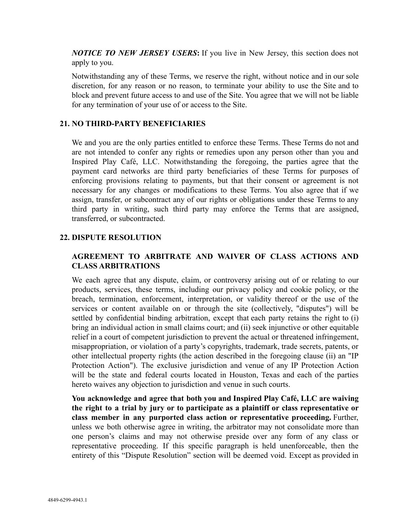*NOTICE TO NEW JERSEY USERS***:** If you live in New Jersey, this section does not apply to you.

Notwithstanding any of these Terms, we reserve the right, without notice and in our sole discretion, for any reason or no reason, to terminate your ability to use the Site and to block and prevent future access to and use of the Site. You agree that we will not be liable for any termination of your use of or access to the Site.

### **21. NO THIRD-PARTY BENEFICIARIES**

We and you are the only parties entitled to enforce these Terms. These Terms do not and are not intended to confer any rights or remedies upon any person other than you and Inspired Play Café, LLC. Notwithstanding the foregoing, the parties agree that the payment card networks are third party beneficiaries of these Terms for purposes of enforcing provisions relating to payments, but that their consent or agreement is not necessary for any changes or modifications to these Terms. You also agree that if we assign, transfer, or subcontract any of our rights or obligations under these Terms to any third party in writing, such third party may enforce the Terms that are assigned, transferred, or subcontracted.

### **22. DISPUTE RESOLUTION**

# **AGREEMENT TO ARBITRATE AND WAIVER OF CLASS ACTIONS AND CLASS ARBITRATIONS**

We each agree that any dispute, claim, or controversy arising out of or relating to our products, services, these terms, including our privacy policy and cookie policy, or the breach, termination, enforcement, interpretation, or validity thereof or the use of the services or content available on or through the site (collectively, "disputes") will be settled by confidential binding arbitration, except that each party retains the right to (i) bring an individual action in small claims court; and (ii) seek injunctive or other equitable relief in a court of competent jurisdiction to prevent the actual or threatened infringement, misappropriation, or violation of a party's copyrights, trademark, trade secrets, patents, or other intellectual property rights (the action described in the foregoing clause (ii) an "IP Protection Action"). The exclusive jurisdiction and venue of any IP Protection Action will be the state and federal courts located in Houston, Texas and each of the parties hereto waives any objection to jurisdiction and venue in such courts.

**You acknowledge and agree that both you and Inspired Play Café, LLC are waiving the right to a trial by jury or to participate as a plaintiff or class representative or class member in any purported class action or representative proceeding.** Further, unless we both otherwise agree in writing, the arbitrator may not consolidate more than one person's claims and may not otherwise preside over any form of any class or representative proceeding. If this specific paragraph is held unenforceable, then the entirety of this "Dispute Resolution" section will be deemed void. Except as provided in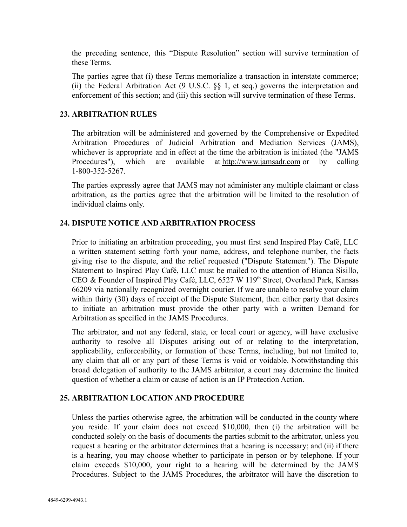the preceding sentence, this "Dispute Resolution" section will survive termination of these Terms.

The parties agree that (i) these Terms memorialize a transaction in interstate commerce; (ii) the Federal Arbitration Act (9 U.S.C. §§ 1, et seq.) governs the interpretation and enforcement of this section; and (iii) this section will survive termination of these Terms.

### **23. ARBITRATION RULES**

The arbitration will be administered and governed by the Comprehensive or Expedited Arbitration Procedures of Judicial Arbitration and Mediation Services (JAMS), whichever is appropriate and in effect at the time the arbitration is initiated (the "JAMS Procedures"), which are available at [http://www.jamsadr.com](http://www.jamsadr.com/) or by calling 1-800-352-5267.

The parties expressly agree that JAMS may not administer any multiple claimant or class arbitration, as the parties agree that the arbitration will be limited to the resolution of individual claims only.

### **24. DISPUTE NOTICE AND ARBITRATION PROCESS**

Prior to initiating an arbitration proceeding, you must first send Inspired Play Café, LLC a written statement setting forth your name, address, and telephone number, the facts giving rise to the dispute, and the relief requested ("Dispute Statement"). The Dispute Statement to Inspired Play Café, LLC must be mailed to the attention of Bianca Sisillo, CEO & Founder of Inspired Play Café, LLC, 6527 W 119<sup>th</sup> Street, Overland Park, Kansas 66209 via nationally recognized overnight courier. If we are unable to resolve your claim within thirty (30) days of receipt of the Dispute Statement, then either party that desires to initiate an arbitration must provide the other party with a written Demand for Arbitration as specified in the JAMS Procedures.

The arbitrator, and not any federal, state, or local court or agency, will have exclusive authority to resolve all Disputes arising out of or relating to the interpretation, applicability, enforceability, or formation of these Terms, including, but not limited to, any claim that all or any part of these Terms is void or voidable. Notwithstanding this broad delegation of authority to the JAMS arbitrator, a court may determine the limited question of whether a claim or cause of action is an IP Protection Action.

### **25. ARBITRATION LOCATION AND PROCEDURE**

Unless the parties otherwise agree, the arbitration will be conducted in the county where you reside. If your claim does not exceed \$10,000, then (i) the arbitration will be conducted solely on the basis of documents the parties submit to the arbitrator, unless you request a hearing or the arbitrator determines that a hearing is necessary; and (ii) if there is a hearing, you may choose whether to participate in person or by telephone. If your claim exceeds \$10,000, your right to a hearing will be determined by the JAMS Procedures. Subject to the JAMS Procedures, the arbitrator will have the discretion to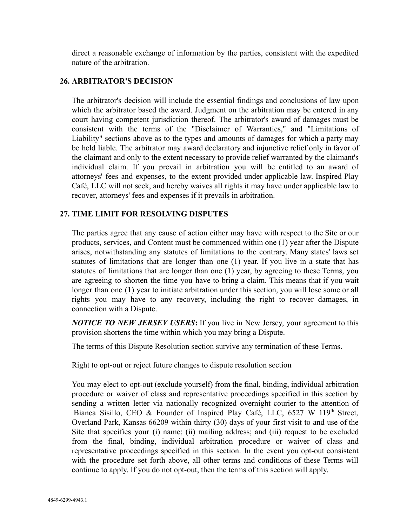direct a reasonable exchange of information by the parties, consistent with the expedited nature of the arbitration.

### **26. ARBITRATOR'S DECISION**

The arbitrator's decision will include the essential findings and conclusions of law upon which the arbitrator based the award. Judgment on the arbitration may be entered in any court having competent jurisdiction thereof. The arbitrator's award of damages must be consistent with the terms of the "Disclaimer of Warranties," and "Limitations of Liability" sections above as to the types and amounts of damages for which a party may be held liable. The arbitrator may award declaratory and injunctive relief only in favor of the claimant and only to the extent necessary to provide relief warranted by the claimant's individual claim. If you prevail in arbitration you will be entitled to an award of attorneys' fees and expenses, to the extent provided under applicable law. Inspired Play Café, LLC will not seek, and hereby waives all rights it may have under applicable law to recover, attorneys' fees and expenses if it prevails in arbitration.

# **27. TIME LIMIT FOR RESOLVING DISPUTES**

The parties agree that any cause of action either may have with respect to the Site or our products, services, and Content must be commenced within one (1) year after the Dispute arises, notwithstanding any statutes of limitations to the contrary. Many states' laws set statutes of limitations that are longer than one (1) year. If you live in a state that has statutes of limitations that are longer than one (1) year, by agreeing to these Terms, you are agreeing to shorten the time you have to bring a claim. This means that if you wait longer than one (1) year to initiate arbitration under this section, you will lose some or all rights you may have to any recovery, including the right to recover damages, in connection with a Dispute.

*NOTICE TO NEW JERSEY USERS***:** If you live in New Jersey, your agreement to this provision shortens the time within which you may bring a Dispute.

The terms of this Dispute Resolution section survive any termination of these Terms.

Right to opt-out or reject future changes to dispute resolution section

You may elect to opt-out (exclude yourself) from the final, binding, individual arbitration procedure or waiver of class and representative proceedings specified in this section by sending a written letter via nationally recognized overnight courier to the attention of Bianca Sisillo, CEO & Founder of Inspired Play Café, LLC, 6527 W 119<sup>th</sup> Street, Overland Park, Kansas 66209 within thirty (30) days of your first visit to and use of the Site that specifies your (i) name; (ii) mailing address; and (iii) request to be excluded from the final, binding, individual arbitration procedure or waiver of class and representative proceedings specified in this section. In the event you opt-out consistent with the procedure set forth above, all other terms and conditions of these Terms will continue to apply. If you do not opt-out, then the terms of this section will apply.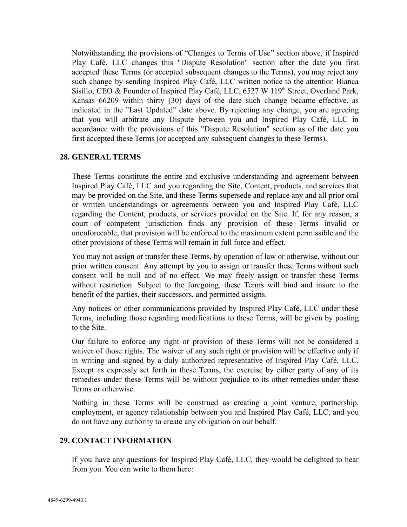Notwithstanding the provisions of "Changes to Terms of Use" section above, if Inspired Play Café, LLC changes this "Dispute Resolution" section after the date you first accepted these Terms (or accepted subsequent changes to the Terms), you may reject any such change by sending Inspired Play Café, LLC written notice to the attention Bianca Sisillo, CEO & Founder of Inspired Play Café, LLC, 6527 W 119<sup>th</sup> Street, Overland Park, Kansas 66209 within thirty (30) days of the date such change became effective, as indicated in the "Last Updated" date above. By rejecting any change, you are agreeing that you will arbitrate any Dispute between you and Inspired Play Café, LLC in accordance with the provisions of this "Dispute Resolution" section as of the date you first accepted these Terms (or accepted any subsequent changes to these Terms).

### **28. GENERAL TERMS**

These Terms constitute the entire and exclusive understanding and agreement between Inspired Play Café, LLC and you regarding the Site, Content, products, and services that may be provided on the Site, and these Terms supersede and replace any and all prior oral or written understandings or agreements between you and Inspired Play Café, LLC regarding the Content, products, or services provided on the Site. If, for any reason, a court of competent jurisdiction finds any provision of these Terms invalid or unenforceable, that provision will be enforced to the maximum extent permissible and the other provisions of these Terms will remain in full force and effect.

You may not assign or transfer these Terms, by operation of law or otherwise, without our prior written consent. Any attempt by you to assign or transfer these Terms without such consent will be null and of no effect. We may freely assign or transfer these Terms without restriction. Subject to the foregoing, these Terms will bind and insure to the benefit of the parties, their successors, and permitted assigns.

Any notices or other communications provided by Inspired Play Café, LLC under these Terms, including those regarding modifications to these Terms, will be given by posting to the Site.

Our failure to enforce any right or provision of these Terms will not be considered a waiver of those rights. The waiver of any such right or provision will be effective only if in writing and signed by a duly authorized representative of Inspired Play Café, LLC. Except as expressly set forth in these Terms, the exercise by either party of any of its remedies under these Terms will be without prejudice to its other remedies under these Terms or otherwise.

Nothing in these Terms will be construed as creating a joint venture, partnership, employment, or agency relationship between you and Inspired Play Café, LLC, and you do not have any authority to create any obligation on our behalf.

### **29. CONTACT INFORMATION**

If you have any questions for Inspired Play Café, LLC, they would be delighted to hear from you. You can write to them here: